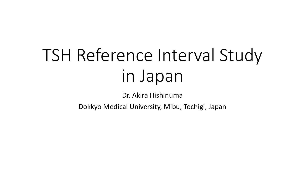## TSH Reference Interval Study in Japan

Dr. Akira Hishinuma

Dokkyo Medical University, Mibu, Tochigi, Japan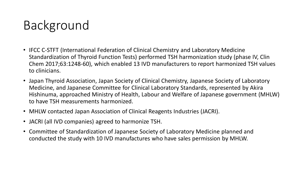## Background

- IFCC C-STFT (International Federation of Clinical Chemistry and Laboratory Medicine Standardization of Thyroid Function Tests) performed TSH harmonization study (phase IV, Clin Chem 2017;63:1248-60), which enabled 13 IVD manufacturers to report harmonized TSH values to clinicians.
- Japan Thyroid Association, Japan Society of Clinical Chemistry, Japanese Society of Laboratory Medicine, and Japanese Committee for Clinical Laboratory Standards, represented by Akira Hishinuma, approached Ministry of Health, Labour and Welfare of Japanese government (MHLW) to have TSH measurements harmonized.
- MHLW contacted Japan Association of Clinical Reagents Industries (JACRI).
- JACRI (all IVD companies) agreed to harmonize TSH.
- Committee of Standardization of Japanese Society of Laboratory Medicine planned and conducted the study with 10 IVD manufactures who have sales permission by MHLW.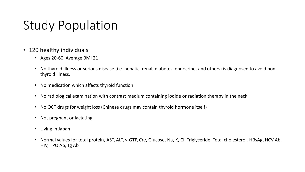## Study Population

- 120 healthy individuals
	- Ages 20-60, Average BMI 21
	- No thyroid illness or serious disease (i.e. hepatic, renal, diabetes, endocrine, and others) is diagnosed to avoid nonthyroid illness.
	- No medication which affects thyroid function
	- No radiological examination with contrast medium containing iodide or radiation therapy in the neck
	- No OCT drugs for weight loss (Chinese drugs may contain thyroid hormone itself)
	- Not pregnant or lactating
	- Living in Japan
	- Normal values for total protein, AST, ALT, γ-GTP, Cre, Glucose, Na, K, Cl, Triglyceride, Total cholesterol, HBsAg, HCV Ab, HIV, TPO Ab, Tg Ab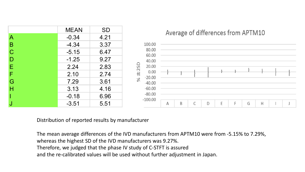

Distribution of reported results by manufacturer

The mean average differences of the IVD manufacturers from APTM10 were from -5.15% to 7.29%, whereas the highest SD of the IVD manufacturers was 9.27%.

Therefore, we judged that the phase IV study of C-STFT is assured

and the re-calibrated values will be used without further adjustment in Japan.